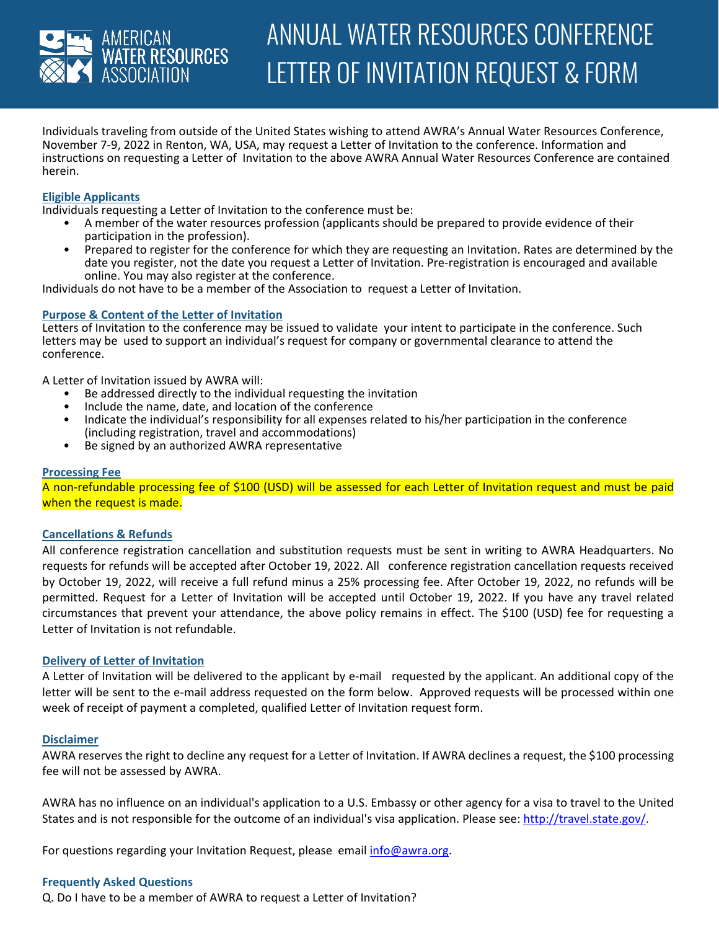

Individuals traveling from outside of the United States wishing to attend AWRA's Annual Water Resources Conference, November 7-9, 2022 in Renton, WA, USA, may request a Letter of Invitation to the conference. Information and instructions on requesting a Letter of Invitation to the above AWRA Annual Water Resources Conference are contained herein.

## **Eligible Applicants**

Individuals requesting a Letter of Invitation to the conference must be:

- A member of the water resources profession (applicants should be prepared to provide evidence of their participation in the profession).
- Prepared to register for the conference for which they are requesting an Invitation. Rates are determined by the date you register, not the date you request a Letter of Invitation. Pre-registration is encouraged and available online. You may also register at the conference.

Individuals do not have to be a member of the Association to request a Letter of Invitation.

### **Purpose & Content of the Letter of Invitation**

Letters of Invitation to the conference may be issued to validate your intent to participate in the conference. Such letters may be used to support an individual's request for company or governmental clearance to attend the conference.

A Letter of Invitation issued by AWRA will:

- Be addressed directly to the individual requesting the invitation
- Include the name, date, and location of the conference
- Indicate the individual's responsibility for all expenses related to his/her participation in the conference (including registration, travel and accommodations)
- Be signed by an authorized AWRA representative

### **Processing Fee**

A non-refundable processing fee of \$100 (USD) will be assessed for each Letter of Invitation request and must be paid when the request is made.

### **Cancellations & Refunds**

All conference registration cancellation and substitution requests must be sent in writing to AWRA Headquarters. No requests for refunds will be accepted after October 19, 2022. All conference registration cancellation requests received by October 19, 2022, will receive a full refund minus a 25% processing fee. After October 19, 2022, no refunds will be permitted. Request for a Letter of Invitation will be accepted until October 19, 2022. If you have any travel related circumstances that prevent your attendance, the above policy remains in effect. The \$100 (USD) fee for requesting a Letter of Invitation is not refundable.

### **Delivery of Letter of Invitation**

A Letter of Invitation will be delivered to the applicant by e-mail requested by the applicant. An additional copy of the letter will be sent to the e-mail address requested on the form below. Approved requests will be processed within one week of receipt of payment a completed, qualified Letter of Invitation request form.

### **Disclaimer**

AWRA reserves the right to decline any request for a Letter of Invitation. If AWRA declines a request, the \$100 processing fee will not be assessed by AWRA.

AWRA has no influence on an individual's application to a U.S. Embassy or other agency for a visa to travel to the United States and is not responsible for the outcome of an individual's visa application. Please see: [http://travel.state.gov/.](http://travel.state.gov/)

For questions regarding your Invitation Request, please email [info@awra.org.](mailto:info@awra.org)

### **Frequently Asked Questions**

Q. Do I have to be a member of AWRA to request a Letter of Invitation?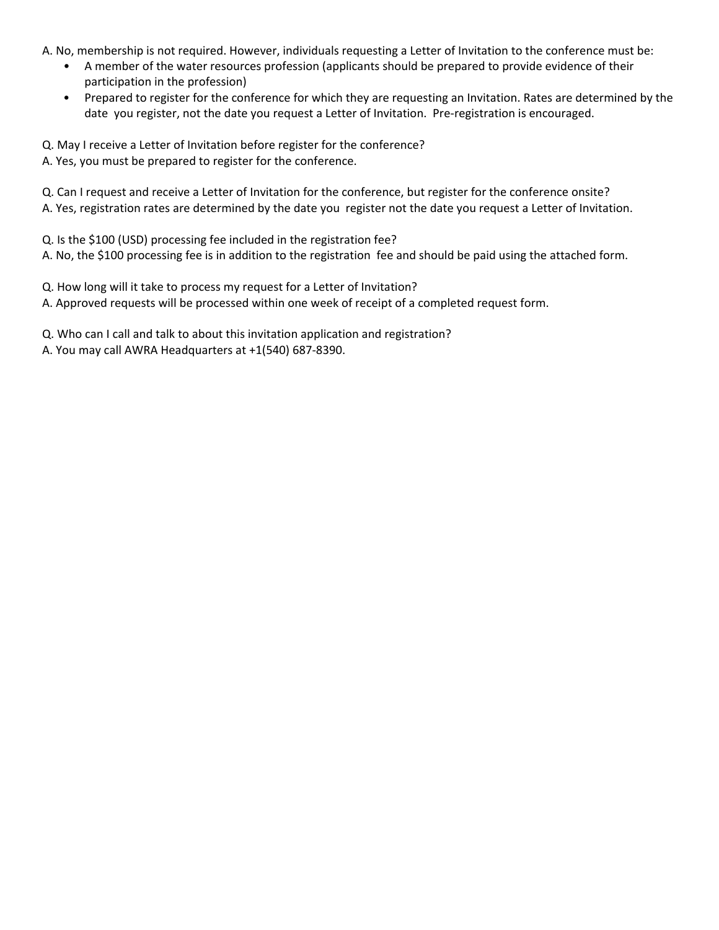A. No, membership is not required. However, individuals requesting a Letter of Invitation to the conference must be:

- A member of the water resources profession (applicants should be prepared to provide evidence of their participation in the profession)
- Prepared to register for the conference for which they are requesting an Invitation. Rates are determined by the date you register, not the date you request a Letter of Invitation. Pre-registration is encouraged.

Q. May I receive a Letter of Invitation before register for the conference? A. Yes, you must be prepared to register for the conference.

Q. Can I request and receive a Letter of Invitation for the conference, but register for the conference onsite? A. Yes, registration rates are determined by the date you register not the date you request a Letter of Invitation.

Q. Is the \$100 (USD) processing fee included in the registration fee? A. No, the \$100 processing fee is in addition to the registration fee and should be paid using the attached form.

Q. How long will it take to process my request for a Letter of Invitation? A. Approved requests will be processed within one week of receipt of a completed request form.

Q. Who can I call and talk to about this invitation application and registration?

A. You may call AWRA Headquarters at +1(540) 687-8390.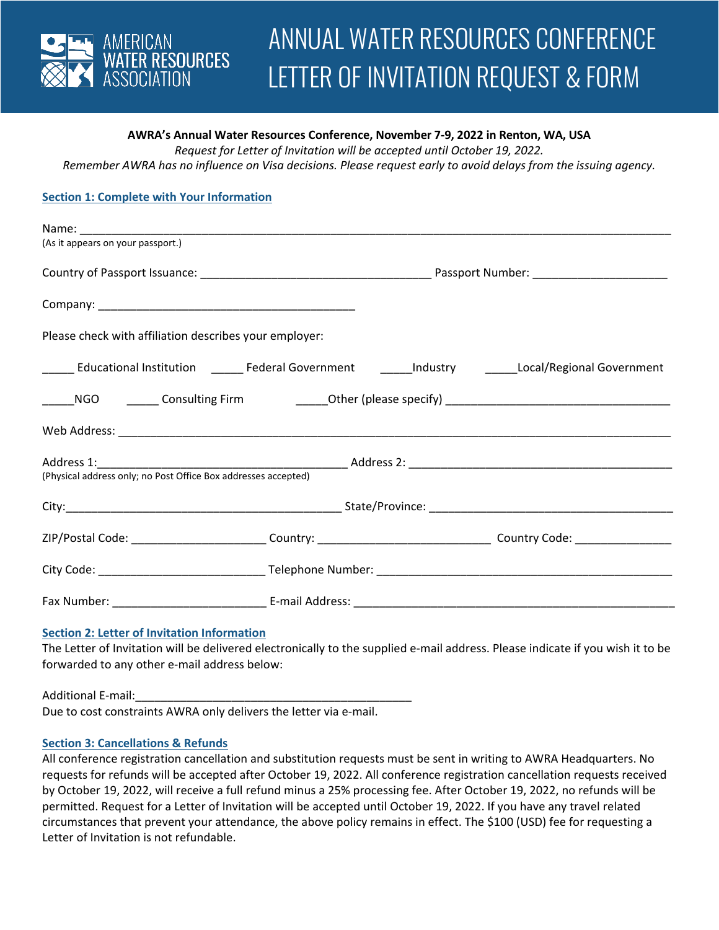

# **AWRA's Annual Water Resources Conference, November 7-9, 2022 in Renton, WA, USA**

*Request for Letter of Invitation will be accepted until October 19, 2022.* 

*Remember AWRA has no influence on Visa decisions. Please request early to avoid delays from the issuing agency.* 

# **Section 1: Complete with Your Information**

| (As it appears on your passport.)                              |  |  |                                                                                                              |  |  |
|----------------------------------------------------------------|--|--|--------------------------------------------------------------------------------------------------------------|--|--|
|                                                                |  |  |                                                                                                              |  |  |
|                                                                |  |  |                                                                                                              |  |  |
| Please check with affiliation describes your employer:         |  |  |                                                                                                              |  |  |
|                                                                |  |  | ______ Educational Institution  ______ Federal Government   ______Industry   ______Local/Regional Government |  |  |
|                                                                |  |  |                                                                                                              |  |  |
|                                                                |  |  |                                                                                                              |  |  |
|                                                                |  |  |                                                                                                              |  |  |
| (Physical address only; no Post Office Box addresses accepted) |  |  |                                                                                                              |  |  |
|                                                                |  |  |                                                                                                              |  |  |
|                                                                |  |  |                                                                                                              |  |  |
|                                                                |  |  |                                                                                                              |  |  |
|                                                                |  |  |                                                                                                              |  |  |

### **Section 2: Letter of Invitation Information**

The Letter of Invitation will be delivered electronically to the supplied e-mail address. Please indicate if you wish it to be forwarded to any other e-mail address below:

Additional E-mail:

Due to cost constraints AWRA only delivers the letter via e-mail.

### **Section 3: Cancellations & Refunds**

All conference registration cancellation and substitution requests must be sent in writing to AWRA Headquarters. No requests for refunds will be accepted after October 19, 2022. All conference registration cancellation requests received by October 19, 2022, will receive a full refund minus a 25% processing fee. After October 19, 2022, no refunds will be permitted. Request for a Letter of Invitation will be accepted until October 19, 2022. If you have any travel related circumstances that prevent your attendance, the above policy remains in effect. The \$100 (USD) fee for requesting a Letter of Invitation is not refundable.